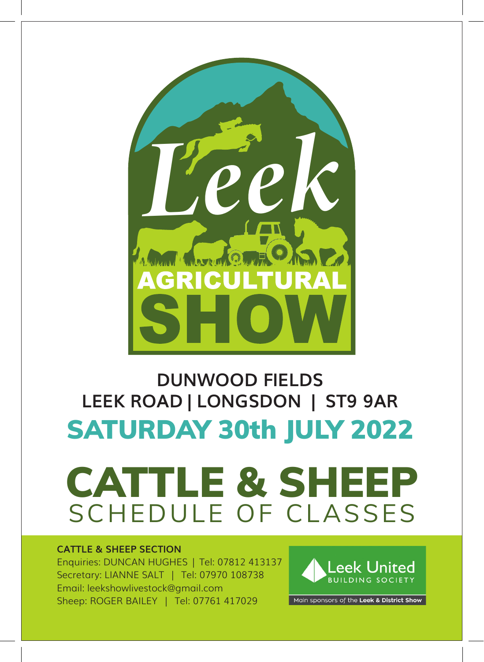

#### **DUNWOOD FIELDS LEEK ROAD | LONGSDON | ST9 9AR** SATURDAY 30th JULY 2022



#### **CATTLE & SHEEP SECTION**

Enquiries: DUNCAN HUGHES | Tel: 07812 413137 Secretary: LIANNE SALT | Tel: 07970 108738 Email: leekshowlivestock@gmail.com Sheep: ROGER BAILEY | Tel: 07761 417029



Main sponsors of the Leek & District Show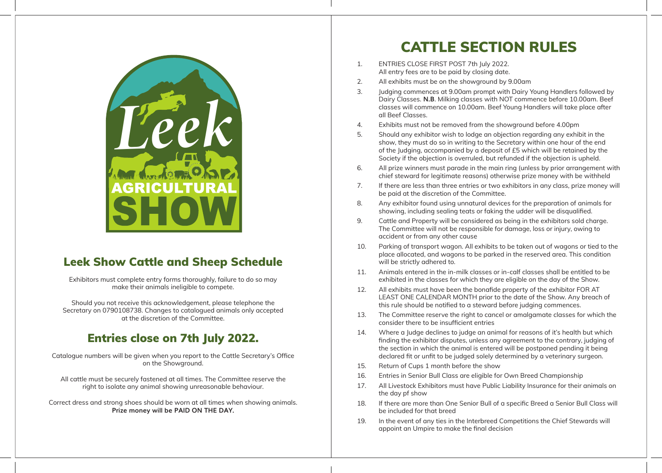

#### Leek Show Cattle and Sheep Schedule

Exhibitors must complete entry forms thoroughly, failure to do so may make their animals ineligible to compete.

Should you not receive this acknowledgement, please telephone the Secretary on 0790108738. Changes to catalogued animals only accepted at the discretion of the Committee.

#### Entries close on 7th July 2022.

Catalogue numbers will be given when you report to the Cattle Secretary's Office on the Showground.

All cattle must be securely fastened at all times. The Committee reserve the right to isolate any animal showing unreasonable behaviour.

Correct dress and strong shoes should be worn at all times when showing animals. **Prize money will be PAID ON THE DAY.** 

#### CATTLE SECTION RULES

- 1. ENTRIES CLOSE FIRST POST 7th July 2022. All entry fees are to be paid by closing date.
- 2. All exhibits must be on the showground by 9.00am
- 3. Judging commences at 9.00am prompt with Dairy Young Handlers followed by Dairy Classes. **N.B**. Milking classes with NOT commence before 10.00am. Beef classes will commence on 10.00am. Beef Young Handlers will take place after all Beef Classes.
- 4. Exhibits must not be removed from the showground before 4.00pm
- 5. Should any exhibitor wish to lodge an objection regarding any exhibit in the show, they must do so in writing to the Secretary within one hour of the end of the Judging, accompanied by a deposit of £5 which will be retained by the Society if the objection is overruled, but refunded if the objection is upheld.
- 6. All prize winners must parade in the main ring (unless by prior arrangement with chief steward for legitimate reasons) otherwise prize money with be withheld
- 7. If there are less than three entries or two exhibitors in any class, prize money will be paid at the discretion of the Committee.
- 8. Any exhibitor found using unnatural devices for the preparation of animals for showing, including sealing teats or faking the udder will be disqualified.
- 9. Cattle and Property will be considered as being in the exhibitors sold charge. The Committee will not be responsible for damage, loss or injury, owing to accident or from any other cause
- 10. Parking of transport wagon. All exhibits to be taken out of wagons or tied to the place allocated, and wagons to be parked in the reserved area. This condition will be strictly adhered to.
- 11. Animals entered in the in-milk classes or in-calf classes shall be entitled to be exhibited in the classes for which they are eligible on the day of the Show.
- 12. All exhibits must have been the bonafide property of the exhibitor FOR AT LEAST ONE CALENDAR MONTH prior to the date of the Show. Any breach of this rule should be notified to a steward before judging commences.
- 13. The Committee reserve the right to cancel or amalgamate classes for which the consider there to be insufficient entries
- 14. Where a Judge declines to judge an animal for reasons of it's health but which finding the exhibitor disputes, unless any agreement to the contrary, judging of the section in which the animal is entered will be postponed pending it being declared fit or unfit to be judged solely determined by a veterinary surgeon.
- 15. Return of Cups 1 month before the show
- 16. Entries in Senior Bull Class are eligible for Own Breed Championship
- 17. All Livestock Exhibitors must have Public Liability Insurance for their animals on the day pf show
- 18. If there are more than One Senior Bull of a specific Breed a Senior Bull Class will be included for that breed
- 19. In the event of any ties in the Interbreed Competitions the Chief Stewards will appoint an Umpire to make the final decision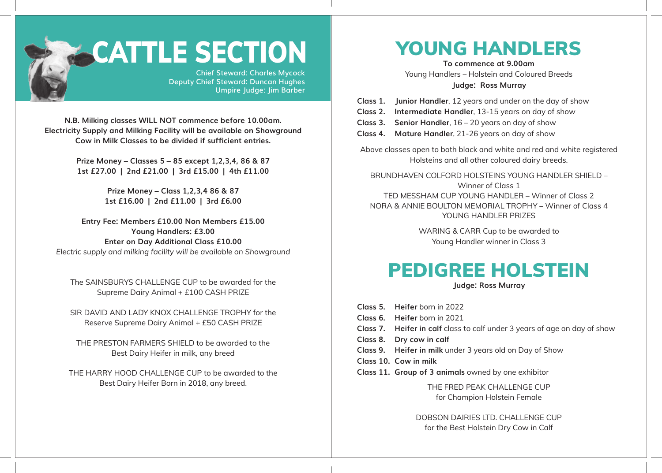

# **CATTLE SECTION**

**Chief Steward: Charles Mycock Deputy Chief Steward: Duncan Hughes Umpire Judge: Jim Barber**

**N.B. Milking classes WILL NOT commence before 10.00am. Electricity Supply and Milking Facility will be available on Showground Cow in Milk Classes to be divided if sufficient entries.**

> **Prize Money – Classes 5 – 85 except 1,2,3,4, 86 & 87 1st £27.00 | 2nd £21.00 | 3rd £15.00 | 4th £11.00**

> > **Prize Money – Class 1,2,3,4 86 & 87 1st £16.00 | 2nd £11.00 | 3rd £6.00**

**Entry Fee: Members £10.00 Non Members £15.00 Young Handlers: £3.00 Enter on Day Additional Class £10.00** *Electric supply and milking facility will be available on Showground*

The SAINSBURYS CHALLENGE CUP to be awarded for the Supreme Dairy Animal + £100 CASH PRIZE

SIR DAVID AND LADY KNOX CHALLENGE TROPHY for the Reserve Supreme Dairy Animal + £50 CASH PRIZE

THE PRESTON FARMERS SHIELD to be awarded to the Best Dairy Heifer in milk, any breed

THE HARRY HOOD CHALLENGE CUP to be awarded to the Best Dairy Heifer Born in 2018, any breed.

# YOUNG HANDLERS

**To commence at 9.00am**

Young Handlers – Holstein and Coloured Breeds **Judge: Ross Murray** 

**Class 1. Junior Handler**, 12 years and under on the day of show

- **Class 2. Intermediate Handler**, 13-15 years on day of show
- **Class 3. Senior Handler**, 16 20 years on day of show
- **Class 4. Mature Handler**, 21-26 years on day of show

Above classes open to both black and white and red and white registered Holsteins and all other coloured dairy breeds.

BRUNDHAVEN COLFORD HOLSTEINS YOUNG HANDLER SHIELD – Winner of Class 1 TED MESSHAM CUP YOUNG HANDLER – Winner of Class 2 NORA & ANNIE BOULTON MEMORIAL TROPHY – Winner of Class 4 YOUNG HANDLER PRIZES

> WARING & CARR Cup to be awarded to Young Handler winner in Class 3

# PEDIGREE HOLSTEIN

**Judge: Ross Murray**

**Class 5. Heifer** born in 2022 **Class 6. Heifer** born in 2021 **Class 7. Heifer in calf** class to calf under 3 years of age on day of show **Class 8. Dry cow in calf Class 9. Heifer in milk** under 3 years old on Day of Show **Class 10. Cow in milk Class 11. Group of 3 animals** owned by one exhibitor THE FRED PEAK CHALLENGE CUP for Champion Holstein Female

> DOBSON DAIRIES LTD. CHALLENGE CUP for the Best Holstein Dry Cow in Calf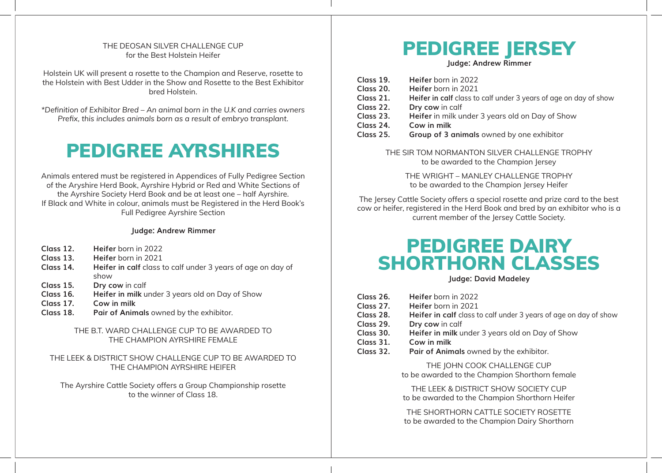#### THE DEOSAN SILVER CHALLENGE CUP for the Best Holstein Heifer

Holstein UK will present a rosette to the Champion and Reserve, rosette to the Holstein with Best Udder in the Show and Rosette to the Best Exhibitor bred Holstein.

*\*Definition of Exhibitor Bred – An animal born in the U.K and carries owners Prefix, this includes animals born as a result of embryo transplant.*

## PEDIGREE AYRSHIRES

Animals entered must be registered in Appendices of Fully Pedigree Section of the Aryshire Herd Book, Ayrshire Hybrid or Red and White Sections of the Ayrshire Society Herd Book and be at least one – half Ayrshire. If Black and White in colour, animals must be Registered in the Herd Book's Full Pedigree Ayrshire Section

#### **Judge: Andrew Rimmer**

- **Class 12. Heifer** born in 2022
- **Class 13. Heifer** born in 2021
- **Class 14. Heifer in calf** class to calf under 3 years of age on day of show
- **Class 15. Dry cow** in calf
- **Class 16. Heifer in milk** under 3 years old on Day of Show
- **Class 17. Cow in milk**
- **Class 18. Pair of Animals** owned by the exhibitor.

#### THE B.T. WARD CHALLENGE CUP TO BE AWARDED TO THE CHAMPION AYRSHIRE FEMALE

#### THE LEEK & DISTRICT SHOW CHALLENGE CUP TO BE AWARDED TO THE CHAMPION AYRSHIRE HEIFER

The Ayrshire Cattle Society offers a Group Championship rosette to the winner of Class 18.

## PEDIGREE JERSEY

**Judge: Andrew Rimmer**

**Class 19. Heifer** born in 2022 **Class 20. Heifer** born in 2021<br>**Class 21. Heifer in calf** class to **Heifer in calf** class to calf under 3 years of age on day of show **Class 22. Dry cow** in calf **Class 23. Heifer** in milk under 3 years old on Day of Show **Class 24. Cow in milk Group of 3 animals** owned by one exhibitor

> THE SIR TOM NORMANTON SILVER CHALLENGE TROPHY to be awarded to the Champion Jersey

THE WRIGHT – MANLEY CHALLENGE TROPHY to be awarded to the Champion Jersey Heifer

The Jersey Cattle Society offers a special rosette and prize card to the best cow or heifer, registered in the Herd Book and bred by an exhibitor who is a current member of the Jersey Cattle Society.

## PEDIGREE DAIRY SHORTHORN CLASSES

**Judge: David Madeley**

**Class 26. Heifer** born in 2022 **Class 27. Heifer** born in 2021 **Class 28. Heifer in calf** class to calf under 3 years of age on day of show **Class 29. Dry cow** in calf **Class 30. Heifer in milk** under 3 years old on Day of Show **Class 31. Cow in milk Class 32. Pair of Animals** owned by the exhibitor. THE IOHN COOK CHALLENGE CUP to be awarded to the Champion Shorthorn female THE LEEK & DISTRICT SHOW SOCIETY CUP to be awarded to the Champion Shorthorn Heifer

> THE SHORTHORN CATTLE SOCIETY ROSETTE to be awarded to the Champion Dairy Shorthorn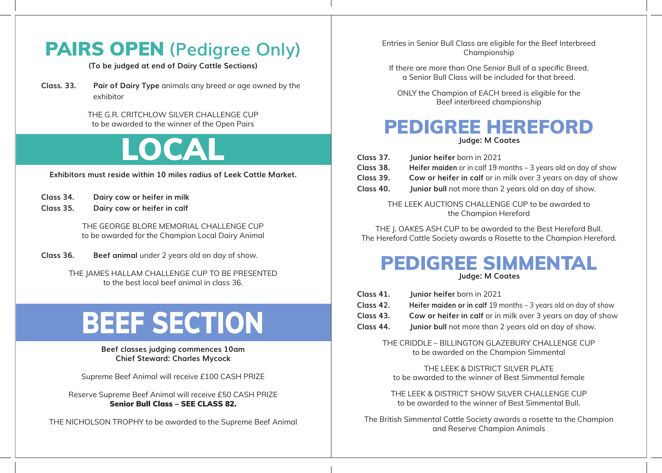# PAIRS OPEN **(Pedigree Only)**

**(To be judged at end of Dairy Cattle Sections)**

**Class. 33. Pair of Dairy Type** animals any breed or age owned by the exhibitor

> THE G.R. CRITCHLOW SILVER CHALLENGE CUP to be awarded to the winner of the Open Pairs

# LOCAL

**Exhibitors must reside within 10 miles radius of Leek Cattle Market.**

| Class 34. | Dairy cow or heifer in milk |  |
|-----------|-----------------------------|--|
| Class 35. | Dairy cow or heifer in calf |  |

THE GEORGE BLORE MEMORIAL CHALLENGE CUP to be awarded for the Champion Local Dairy Animal

**Class 36. Beef animal** under 2 years old on day of show.

THE JAMES HALLAM CHALLENGE CUP TO BE PRESENTED to the best local beef animal in class 36.

# BEEF SECTION

**Beef classes judging commences 10am Chief Steward: Charles Mycock**

Supreme Beef Animal will receive £100 CASH PRIZE

Reserve Supreme Beef Animal will receive £50 CASH PRIZE Senior Bull Class – SEE CLASS 82.

THE NICHOLSON TROPHY to be awarded to the Supreme Beef Animal

Entries in Senior Bull Class are eligible for the Beef Interbreed Championship

If there are more than One Senior Bull of a specific Breed, a Senior Bull Class will be included for that breed.

ONLY the Champion of EACH breed is eligible for the Beef interbreed championship

#### PEDIGREE HEREFORD **Judge: M Coates**

| Class 37. | Junior heifer born in 2021                                        |
|-----------|-------------------------------------------------------------------|
| Class 38. | Heifer maiden or in calf 19 months $-$ 3 years old on day of show |
| Class 39. | Cow or heifer in calf or in milk over 3 years on day of show      |
| Class 40. | Junior bull not more than 2 years old on day of show.             |

THE LEEK AUCTIONS CHALLENGE CUP to be awarded to the Champion Hereford

THE J. OAKES ASH CUP to be awarded to the Best Hereford Bull. The Hereford Cattle Society awards a Rosette to the Champion Hereford.

#### PEDIGREE SIMMENTAL **Judge: M Coates**

| Class 41.<br>Class 42.<br>Class 43.<br>Class 44. | Junior heifer born in 2021<br>Heifer maiden or in calf 19 months $-$ 3 years old on day of show<br>Cow or heifer in calf or in milk over 3 years on day of show<br>Junior bull not more than 2 years old on day of show. |
|--------------------------------------------------|--------------------------------------------------------------------------------------------------------------------------------------------------------------------------------------------------------------------------|
|                                                  | THE CRIDDLE - BILLINGTON GLAZEBURY CHALLENGE CUP<br>to be awarded on the Champion Simmental                                                                                                                              |
|                                                  | THE LEEK & DISTRICT SILVER PLATE<br>to be awarded to the winner of Best Simmental female                                                                                                                                 |

THE LEEK & DISTRICT SHOW SILVER CHALLENGE CUP to be awarded to the winner of Best Simmental Bull.

The British Simmental Cattle Society awards a rosette to the Champion and Reserve Champion Animals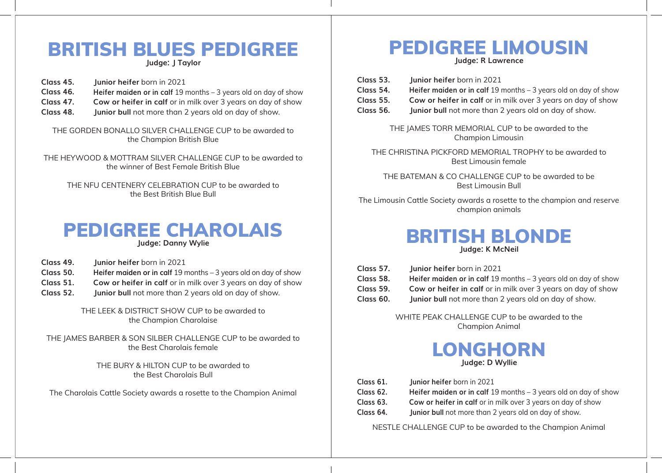## BRITISH BLUES PEDIGREE

**Judge: J Taylor**

- **Class 45. Junior heifer** born in 2021
- **Class 46. Heifer maiden or in calf** 19 months 3 years old on day of show
- **Class 47. Cow or heifer in calf** or in milk over 3 years on day of show
- **Class 48. Junior bull** not more than 2 years old on day of show.

THE GORDEN BONALLO SILVER CHALLENGE CUP to be awarded to the Champion British Blue

THE HEYWOOD & MOTTRAM SILVER CHALLENGE CUP to be awarded to the winner of Best Female British Blue

THE NFU CENTENERY CELEBRATION CUP to be awarded to the Best British Blue Bull



- **Class 49. Junior heifer** born in 2021
- **Class 50. Heifer maiden or in calf** 19 months 3 years old on day of show
- **Class 51. Cow or heifer in calf** or in milk over 3 years on day of show
- **Class 52. Junior bull** not more than 2 years old on day of show.

THF I EEK & DISTRICT SHOW CUP to be awarded to the Champion Charolaise

THE JAMES BARBER & SON SILBER CHALLENGE CUP to be awarded to the Best Charolais female

> THE BURY & HILTON CUP to be awarded to the Best Charolais Bull

The Charolais Cattle Society awards a rosette to the Champion Animal

# PEDIGREE LIMOUSIN

**Judge: R Lawrence**

| Class 53. | Junior heifer born in 2021                                        |
|-----------|-------------------------------------------------------------------|
| Class 54. | Heifer maiden or in calf 19 months $-$ 3 years old on day of show |
| Class 55. | Cow or heifer in calf or in milk over 3 years on day of show      |
| Class 56. | <b>Junior bull</b> not more than 2 years old on day of show.      |

THE JAMES TORR MEMORIAL CUP to be awarded to the Champion Limousin

THE CHRISTINA PICKFORD MEMORIAL TROPHY to be awarded to Best Limousin female

THE BATEMAN & CO CHALLENGE CUP to be awarded to be Best Limousin Bull

The Limousin Cattle Society awards a rosette to the champion and reserve champion animals

#### BRITISH BLONDE **Judge: K McNeil**

- **Class 57. Junior heifer** born in 2021
- **Class 58. Heifer maiden or in calf** 19 months 3 years old on day of show
- **Class 59. Cow or heifer in calf** or in milk over 3 years on day of show
- **Class 60. Junior bull** not more than 2 years old on day of show.

WHITE PEAK CHALLENGE CUP to be awarded to the Champion Animal

#### LONGHORN **Judge: D Wyllie**

- **Class 61. Junior heifer** born in 2021
- **Class 62. Heifer maiden or in calf** 19 months 3 years old on day of show
- **Class 63. Cow or heifer in calf** or in milk over 3 years on day of show
- **Class 64. Junior bull** not more than 2 years old on day of show.

NESTLE CHALLENGE CUP to be awarded to the Champion Animal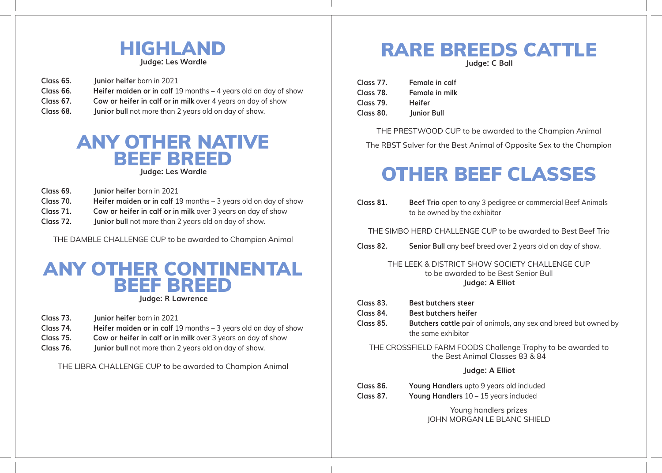

**Class 65. Junior heifer** born in 2021 **Class 66. Heifer maiden or in calf** 19 months – 4 years old on day of show **Class 67. Cow or heifer in calf or in milk** over 4 years on day of show **Class 68. Junior bull** not more than 2 years old on day of show.

### ANY OTHER NATIVE BEEF BREED

**Judge: Les Wardle**

- **Class 69. Junior heifer** born in 2021
- **Class 70. Heifer maiden or in calf** 19 months 3 years old on day of show
- **Class 71. Cow or heifer in calf or in milk** over 3 years on day of show
- **Class 72. Junior bull** not more than 2 years old on day of show.

THE DAMBLE CHALLENGE CUP to be awarded to Champion Animal

#### ANY OTHER CONTINENTAL BEEF BREED **Judge: R Lawrence**

- **Class 73. Junior heifer** born in 2021
- **Class 74. Heifer maiden or in calf** 19 months 3 years old on day of show
- **Class 75. Cow or heifer in calf or in milk** over 3 years on day of show
- **Class 76. Junior bull** not more than 2 years old on day of show.

THE LIBRA CHALLENGE CUP to be awarded to Champion Animal

### RARE BREEDS CATTLE

**Judge: C Ball**

| Class 77. | Female in calf     |
|-----------|--------------------|
| Class 78. | Female in milk     |
| Class 79. | <b>Heifer</b>      |
| Class 80. | <b>Junior Bull</b> |

THE PRESTWOOD CUP to be awarded to the Champion Animal The RBST Salver for the Best Animal of Opposite Sex to the Champion

# OTHER BEEF CLASSES

**Class 81. Beef Trio** open to any 3 pedigree or commercial Beef Animals to be owned by the exhibitor

THE SIMBO HERD CHALLENGE CUP to be awarded to Best Beef Trio

**Class 82. Senior Bull** any beef breed over 2 years old on day of show.

#### THE LEEK & DISTRICT SHOW SOCIETY CHALLENGE CUP to be awarded to be Best Senior Bull **Judge: A Elliot**

- **Class 83. Best butchers steer**
- **Class 84. Best butchers heifer**
- **Class 85. Butchers cattle** pair of animals, any sex and breed but owned by the same exhibitor

THE CROSSFIELD FARM FOODS Challenge Trophy to be awarded to the Best Animal Classes 83 & 84

#### **Judge: A Elliot**

**Class 86. Young Handlers** upto 9 years old included **Class 87. Young Handlers** 10 – 15 years included

> Young handlers prizes JOHN MORGAN LE BLANC SHIELD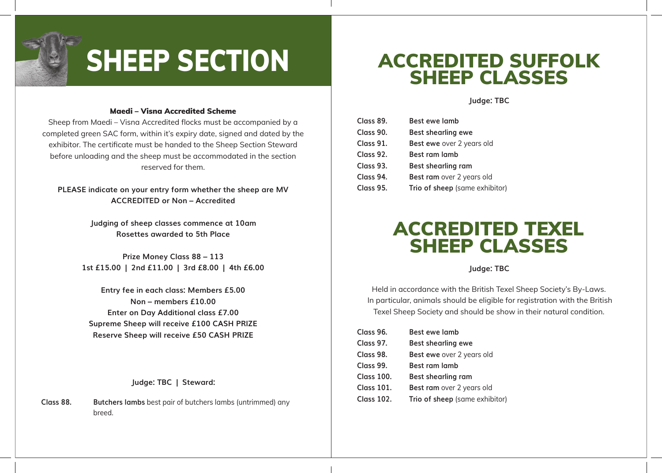

# SHEEP SECTION

#### Maedi – Visna Accredited Scheme

Sheep from Maedi – Visna Accredited flocks must be accompanied by a completed green SAC form, within it's expiry date, signed and dated by the exhibitor. The certificate must be handed to the Sheep Section Steward before unloading and the sheep must be accommodated in the section reserved for them.

**PLEASE indicate on your entry form whether the sheep are MV ACCREDITED or Non – Accredited**

> **Judging of sheep classes commence at 10am Rosettes awarded to 5th Place**

**Prize Money Class 88 – 113 1st £15.00 | 2nd £11.00 | 3rd £8.00 | 4th £6.00**

**Entry fee in each class: Members £5.00 Non – members £10.00 Enter on Day Additional class £7.00 Supreme Sheep will receive £100 CASH PRIZE Reserve Sheep will receive £50 CASH PRIZE**

**Judge: TBC | Steward:**

**Class 88. Butchers lambs** best pair of butchers lambs (untrimmed) any breed.

### ACCREDITED SUFFOLK SHEEP CLASSES

**Judge: TBC**

| Class 89. | <b>Best ewe lamb</b>           |
|-----------|--------------------------------|
| Class 90. | <b>Best shearling ewe</b>      |
| Class 91. | Best ewe over 2 years old      |
| Class 92. | <b>Best ram lamb</b>           |
| Class 93. | <b>Best shearling ram</b>      |
| Class 94. | Best ram over 2 years old      |
| Class 95. | Trio of sheep (same exhibitor) |

### ACCREDITED TEXEL SHEEP CLASSES

**Judge: TBC**

Held in accordance with the British Texel Sheep Society's By-Laws. In particular, animals should be eligible for registration with the British Texel Sheep Society and should be show in their natural condition.

| Class 96.         | <b>Best ewe lamb</b>           |
|-------------------|--------------------------------|
| Class 97.         | <b>Best shearling ewe</b>      |
| Class 98.         | Best ewe over 2 years old      |
| Class 99.         | Best ram lamb                  |
| <b>Class 100.</b> | <b>Best shearling ram</b>      |
| <b>Class 101.</b> | Best ram over 2 years old      |
| <b>Class 102.</b> | Trio of sheep (same exhibitor) |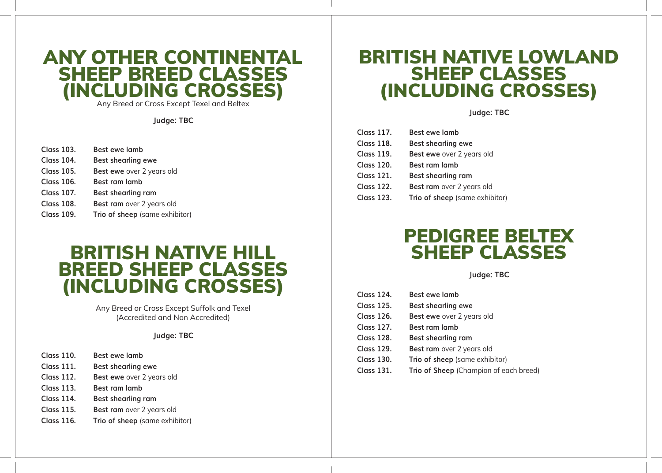#### ANY OTHER CONTINENTAL SHEEP BREED CLASSES (INCLUDING CROSSES)

Any Breed or Cross Except Texel and Beltex

**Judge: TBC**

| Class 103.        | <b>Best ewe lamb</b>           |
|-------------------|--------------------------------|
| <b>Class 104.</b> | <b>Best shearling ewe</b>      |
| Class 105.        | Best ewe over 2 years old      |
| <b>Class 106.</b> | <b>Best ram lamb</b>           |
| <b>Class 107.</b> | <b>Best shearling ram</b>      |
| <b>Class 108.</b> | Best ram over 2 years old      |
| <b>Class 109.</b> | Trio of sheep (same exhibitor) |

#### BRITISH NATIVE HILL BREED SHEEP CLASSES (INCLUDING CROSSES)

Any Breed or Cross Except Suffolk and Texel (Accredited and Non Accredited)

#### **Judge: TBC**

- **Class 111. Best shearling ewe**
- **Class 112. Best ewe** over 2 years old
- **Class 113. Best ram lamb**
- **Class 114. Best shearling ram**
- **Class 115.** Best ram over 2 years old
- **Class 116. Trio of sheep** (same exhibitor)

### BRITISH NATIVE LOWLAND SHEEP CLASSES (INCLUDING CROSSES)

**Judge: TBC**

| <b>Class 117.</b> | <b>Best ewe lamb</b>           |
|-------------------|--------------------------------|
| <b>Class 118.</b> | <b>Best shearling ewe</b>      |
| <b>Class 119.</b> | Best ewe over 2 years old      |
| <b>Class 120.</b> | <b>Best ram lamb</b>           |
| <b>Class 121.</b> | <b>Best shearling ram</b>      |
| <b>Class 122.</b> | Best ram over 2 years old      |
| <b>Class 123.</b> | Trio of sheep (same exhibitor) |

### PEDIGREE BELTEX SHEEP CLASSES

**Judge: TBC**

| <b>Class 124.</b> | Best ewe lamb                          |
|-------------------|----------------------------------------|
| <b>Class 125.</b> | <b>Best shearling ewe</b>              |
| <b>Class 126.</b> | Best ewe over 2 years old              |
| <b>Class 127.</b> | Best ram lamb                          |
| <b>Class 128.</b> | <b>Best shearling ram</b>              |
| <b>Class 129.</b> | Best ram over 2 years old              |
| <b>Class 130.</b> | Trio of sheep (same exhibitor)         |
| <b>Class 131.</b> | Trio of Sheep (Champion of each breed) |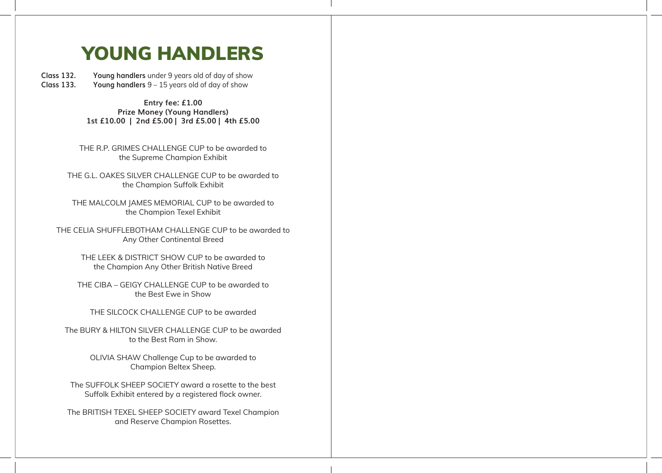## YOUNG HANDLERS

**Class 132. Young handlers** under 9 years old of day of show Young handlers  $9 - 15$  years old of day of show

> **Entry fee: £1.00 Prize Money (Young Handlers) 1st £10.00 | 2nd £5.00 | 3rd £5.00 | 4th £5.00**

THE R.P. GRIMES CHALLENGE CUP to be awarded to the Supreme Champion Exhibit

THE G.L. OAKES SILVER CHALLENGE CUP to be awarded to the Champion Suffolk Exhibit

THE MALCOLM JAMES MEMORIAL CUP to be awarded to the Champion Texel Exhibit

THE CELIA SHUFFLEBOTHAM CHALLENGE CUP to be awarded to Any Other Continental Breed

> THE LEEK & DISTRICT SHOW CUP to be awarded to the Champion Any Other British Native Breed

THE CIBA – GEIGY CHALLENGE CUP to be awarded to the Best Ewe in Show

THE SILCOCK CHALLENGE CUP to be awarded

The BURY & HILTON SILVER CHALLENGE CUP to be awarded to the Best Ram in Show.

> OLIVIA SHAW Challenge Cup to be awarded to Champion Beltex Sheep.

The SUFFOLK SHEEP SOCIETY award a rosette to the best Suffolk Exhibit entered by a registered flock owner.

The BRITISH TEXEL SHEEP SOCIETY award Texel Champion and Reserve Champion Rosettes.